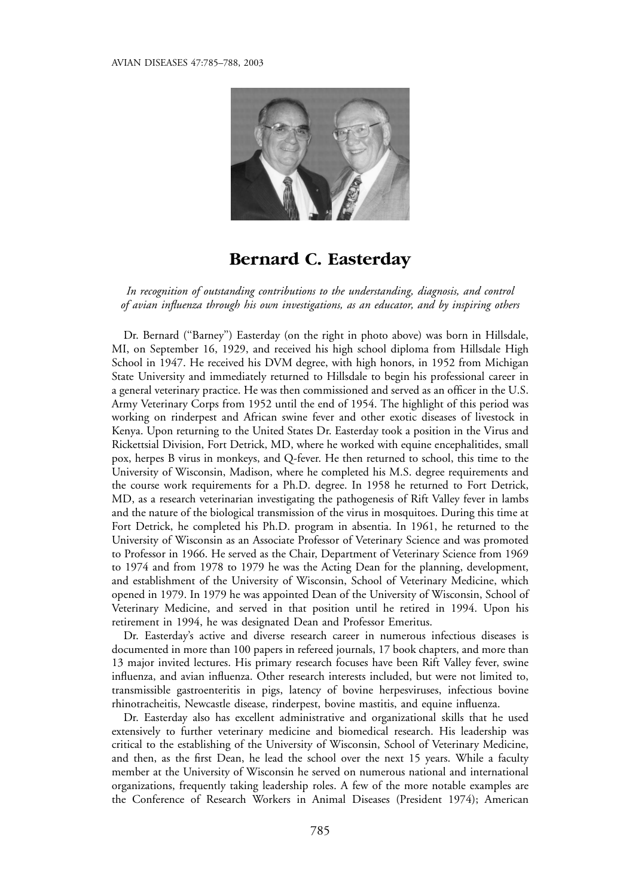

## Bernard C. Easterday

In recognition of outstanding contributions to the understanding, diagnosis, and control of avian influenza through his own investigations, as an educator, and by inspiring others

Dr. Bernard (''Barney'') Easterday (on the right in photo above) was born in Hillsdale, MI, on September 16, 1929, and received his high school diploma from Hillsdale High School in 1947. He received his DVM degree, with high honors, in 1952 from Michigan State University and immediately returned to Hillsdale to begin his professional career in a general veterinary practice. He was then commissioned and served as an officer in the U.S. Army Veterinary Corps from 1952 until the end of 1954. The highlight of this period was working on rinderpest and African swine fever and other exotic diseases of livestock in Kenya. Upon returning to the United States Dr. Easterday took a position in the Virus and Rickettsial Division, Fort Detrick, MD, where he worked with equine encephalitides, small pox, herpes B virus in monkeys, and Q-fever. He then returned to school, this time to the University of Wisconsin, Madison, where he completed his M.S. degree requirements and the course work requirements for a Ph.D. degree. In 1958 he returned to Fort Detrick, MD, as a research veterinarian investigating the pathogenesis of Rift Valley fever in lambs and the nature of the biological transmission of the virus in mosquitoes. During this time at Fort Detrick, he completed his Ph.D. program in absentia. In 1961, he returned to the University of Wisconsin as an Associate Professor of Veterinary Science and was promoted to Professor in 1966. He served as the Chair, Department of Veterinary Science from 1969 to 1974 and from 1978 to 1979 he was the Acting Dean for the planning, development, and establishment of the University of Wisconsin, School of Veterinary Medicine, which opened in 1979. In 1979 he was appointed Dean of the University of Wisconsin, School of Veterinary Medicine, and served in that position until he retired in 1994. Upon his retirement in 1994, he was designated Dean and Professor Emeritus.

Dr. Easterday's active and diverse research career in numerous infectious diseases is documented in more than 100 papers in refereed journals, 17 book chapters, and more than 13 major invited lectures. His primary research focuses have been Rift Valley fever, swine influenza, and avian influenza. Other research interests included, but were not limited to, transmissible gastroenteritis in pigs, latency of bovine herpesviruses, infectious bovine rhinotracheitis, Newcastle disease, rinderpest, bovine mastitis, and equine influenza.

Dr. Easterday also has excellent administrative and organizational skills that he used extensively to further veterinary medicine and biomedical research. His leadership was critical to the establishing of the University of Wisconsin, School of Veterinary Medicine, and then, as the first Dean, he lead the school over the next 15 years. While a faculty member at the University of Wisconsin he served on numerous national and international organizations, frequently taking leadership roles. A few of the more notable examples are the Conference of Research Workers in Animal Diseases (President 1974); American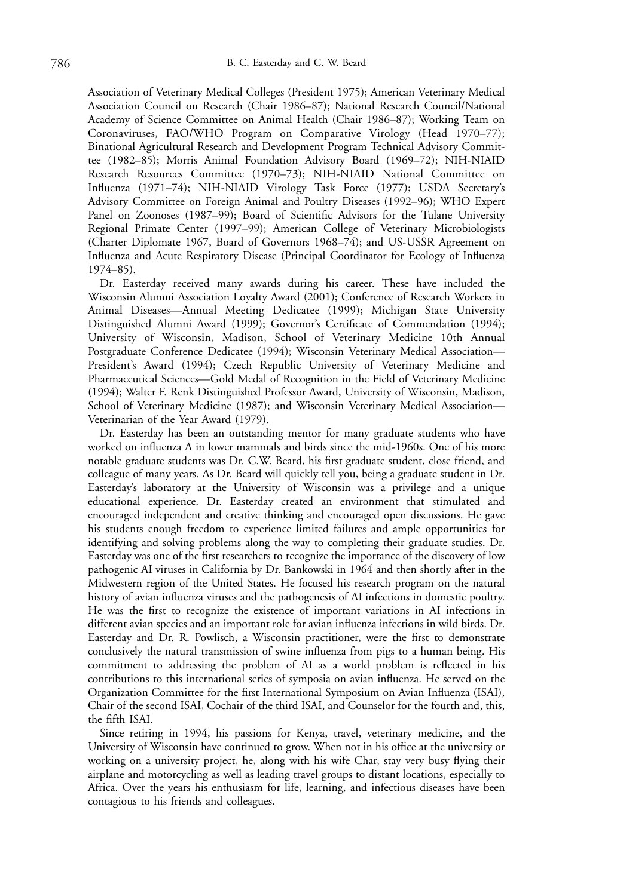Association of Veterinary Medical Colleges (President 1975); American Veterinary Medical Association Council on Research (Chair 1986–87); National Research Council/National Academy of Science Committee on Animal Health (Chair 1986–87); Working Team on Coronaviruses, FAO/WHO Program on Comparative Virology (Head 1970–77); Binational Agricultural Research and Development Program Technical Advisory Committee (1982–85); Morris Animal Foundation Advisory Board (1969–72); NIH-NIAID Research Resources Committee (1970–73); NIH-NIAID National Committee on Influenza (1971–74); NIH-NIAID Virology Task Force (1977); USDA Secretary's Advisory Committee on Foreign Animal and Poultry Diseases (1992–96); WHO Expert Panel on Zoonoses (1987–99); Board of Scientific Advisors for the Tulane University Regional Primate Center (1997–99); American College of Veterinary Microbiologists (Charter Diplomate 1967, Board of Governors 1968–74); and US-USSR Agreement on Influenza and Acute Respiratory Disease (Principal Coordinator for Ecology of Influenza 1974–85).

Dr. Easterday received many awards during his career. These have included the Wisconsin Alumni Association Loyalty Award (2001); Conference of Research Workers in Animal Diseases—Annual Meeting Dedicatee (1999); Michigan State University Distinguished Alumni Award (1999); Governor's Certificate of Commendation (1994); University of Wisconsin, Madison, School of Veterinary Medicine 10th Annual Postgraduate Conference Dedicatee (1994); Wisconsin Veterinary Medical Association— President's Award (1994); Czech Republic University of Veterinary Medicine and Pharmaceutical Sciences—Gold Medal of Recognition in the Field of Veterinary Medicine (1994); Walter F. Renk Distinguished Professor Award, University of Wisconsin, Madison, School of Veterinary Medicine (1987); and Wisconsin Veterinary Medical Association— Veterinarian of the Year Award (1979).

Dr. Easterday has been an outstanding mentor for many graduate students who have worked on influenza A in lower mammals and birds since the mid-1960s. One of his more notable graduate students was Dr. C.W. Beard, his first graduate student, close friend, and colleague of many years. As Dr. Beard will quickly tell you, being a graduate student in Dr. Easterday's laboratory at the University of Wisconsin was a privilege and a unique educational experience. Dr. Easterday created an environment that stimulated and encouraged independent and creative thinking and encouraged open discussions. He gave his students enough freedom to experience limited failures and ample opportunities for identifying and solving problems along the way to completing their graduate studies. Dr. Easterday was one of the first researchers to recognize the importance of the discovery of low pathogenic AI viruses in California by Dr. Bankowski in 1964 and then shortly after in the Midwestern region of the United States. He focused his research program on the natural history of avian influenza viruses and the pathogenesis of AI infections in domestic poultry. He was the first to recognize the existence of important variations in AI infections in different avian species and an important role for avian influenza infections in wild birds. Dr. Easterday and Dr. R. Powlisch, a Wisconsin practitioner, were the first to demonstrate conclusively the natural transmission of swine influenza from pigs to a human being. His commitment to addressing the problem of AI as a world problem is reflected in his contributions to this international series of symposia on avian influenza. He served on the Organization Committee for the first International Symposium on Avian Influenza (ISAI), Chair of the second ISAI, Cochair of the third ISAI, and Counselor for the fourth and, this, the fifth ISAI.

Since retiring in 1994, his passions for Kenya, travel, veterinary medicine, and the University of Wisconsin have continued to grow. When not in his office at the university or working on a university project, he, along with his wife Char, stay very busy flying their airplane and motorcycling as well as leading travel groups to distant locations, especially to Africa. Over the years his enthusiasm for life, learning, and infectious diseases have been contagious to his friends and colleagues.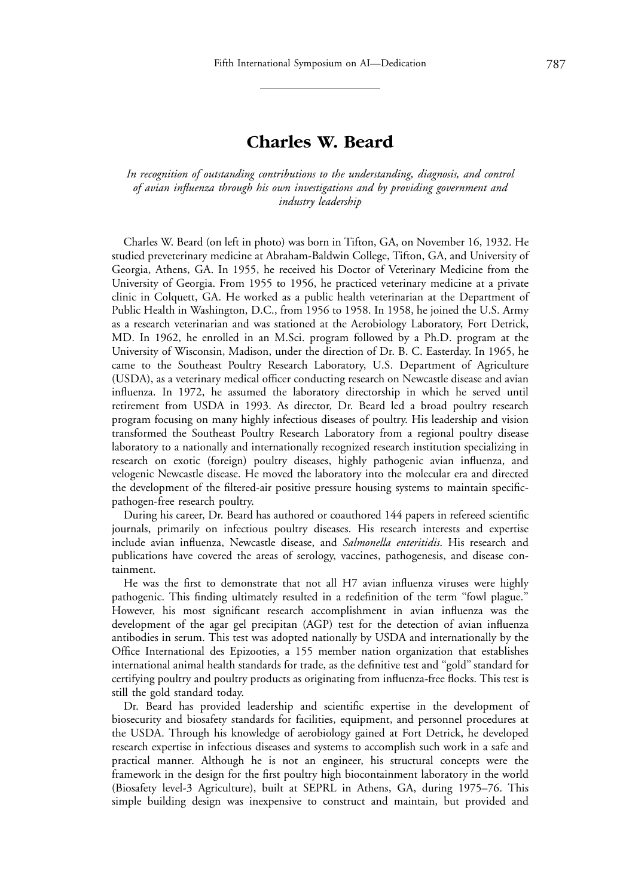## Charles W. Beard

In recognition of outstanding contributions to the understanding, diagnosis, and control of avian influenza through his own investigations and by providing government and industry leadership

Charles W. Beard (on left in photo) was born in Tifton, GA, on November 16, 1932. He studied preveterinary medicine at Abraham-Baldwin College, Tifton, GA, and University of Georgia, Athens, GA. In 1955, he received his Doctor of Veterinary Medicine from the University of Georgia. From 1955 to 1956, he practiced veterinary medicine at a private clinic in Colquett, GA. He worked as a public health veterinarian at the Department of Public Health in Washington, D.C., from 1956 to 1958. In 1958, he joined the U.S. Army as a research veterinarian and was stationed at the Aerobiology Laboratory, Fort Detrick, MD. In 1962, he enrolled in an M.Sci. program followed by a Ph.D. program at the University of Wisconsin, Madison, under the direction of Dr. B. C. Easterday. In 1965, he came to the Southeast Poultry Research Laboratory, U.S. Department of Agriculture (USDA), as a veterinary medical officer conducting research on Newcastle disease and avian influenza. In 1972, he assumed the laboratory directorship in which he served until retirement from USDA in 1993. As director, Dr. Beard led a broad poultry research program focusing on many highly infectious diseases of poultry. His leadership and vision transformed the Southeast Poultry Research Laboratory from a regional poultry disease laboratory to a nationally and internationally recognized research institution specializing in research on exotic (foreign) poultry diseases, highly pathogenic avian influenza, and velogenic Newcastle disease. He moved the laboratory into the molecular era and directed the development of the filtered-air positive pressure housing systems to maintain specificpathogen-free research poultry.

During his career, Dr. Beard has authored or coauthored 144 papers in refereed scientific journals, primarily on infectious poultry diseases. His research interests and expertise include avian influenza, Newcastle disease, and Salmonella enteritidis. His research and publications have covered the areas of serology, vaccines, pathogenesis, and disease containment.

He was the first to demonstrate that not all H7 avian influenza viruses were highly pathogenic. This finding ultimately resulted in a redefinition of the term ''fowl plague.'' However, his most significant research accomplishment in avian influenza was the development of the agar gel precipitan (AGP) test for the detection of avian influenza antibodies in serum. This test was adopted nationally by USDA and internationally by the Office International des Epizooties, a 155 member nation organization that establishes international animal health standards for trade, as the definitive test and ''gold'' standard for certifying poultry and poultry products as originating from influenza-free flocks. This test is still the gold standard today.

Dr. Beard has provided leadership and scientific expertise in the development of biosecurity and biosafety standards for facilities, equipment, and personnel procedures at the USDA. Through his knowledge of aerobiology gained at Fort Detrick, he developed research expertise in infectious diseases and systems to accomplish such work in a safe and practical manner. Although he is not an engineer, his structural concepts were the framework in the design for the first poultry high biocontainment laboratory in the world (Biosafety level-3 Agriculture), built at SEPRL in Athens, GA, during 1975–76. This simple building design was inexpensive to construct and maintain, but provided and